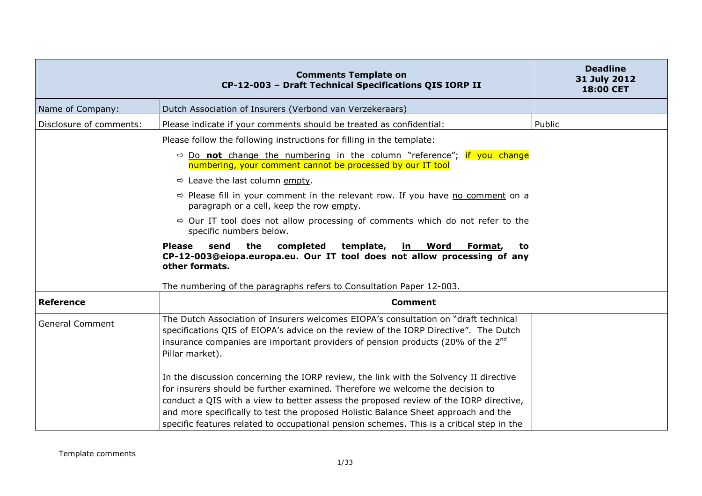|                         | <b>Comments Template on</b><br>CP-12-003 - Draft Technical Specifications QIS IORP II                                                                                                                                                                                                                                                                                                                                                              | <b>Deadline</b><br>31 July 2012<br>18:00 CET |
|-------------------------|----------------------------------------------------------------------------------------------------------------------------------------------------------------------------------------------------------------------------------------------------------------------------------------------------------------------------------------------------------------------------------------------------------------------------------------------------|----------------------------------------------|
| Name of Company:        | Dutch Association of Insurers (Verbond van Verzekeraars)                                                                                                                                                                                                                                                                                                                                                                                           |                                              |
| Disclosure of comments: | Please indicate if your comments should be treated as confidential:                                                                                                                                                                                                                                                                                                                                                                                | Public                                       |
|                         | Please follow the following instructions for filling in the template:                                                                                                                                                                                                                                                                                                                                                                              |                                              |
|                         | $\Rightarrow$ Do not change the numbering in the column "reference"; if you change<br>numbering, your comment cannot be processed by our IT tool                                                                                                                                                                                                                                                                                                   |                                              |
|                         | $\Rightarrow$ Leave the last column empty.                                                                                                                                                                                                                                                                                                                                                                                                         |                                              |
|                         | $\Rightarrow$ Please fill in your comment in the relevant row. If you have no comment on a<br>paragraph or a cell, keep the row empty.                                                                                                                                                                                                                                                                                                             |                                              |
|                         | $\Rightarrow$ Our IT tool does not allow processing of comments which do not refer to the<br>specific numbers below.                                                                                                                                                                                                                                                                                                                               |                                              |
|                         | completed<br><b>Please</b><br>send<br>the<br>template,<br>in Word<br>Format,<br>to<br>CP-12-003@eiopa.europa.eu. Our IT tool does not allow processing of any<br>other formats.<br>The numbering of the paragraphs refers to Consultation Paper 12-003.                                                                                                                                                                                            |                                              |
| <b>Reference</b>        | <b>Comment</b>                                                                                                                                                                                                                                                                                                                                                                                                                                     |                                              |
| <b>General Comment</b>  | The Dutch Association of Insurers welcomes EIOPA's consultation on "draft technical<br>specifications QIS of EIOPA's advice on the review of the IORP Directive". The Dutch<br>insurance companies are important providers of pension products (20% of the 2 <sup>nd</sup><br>Pillar market).                                                                                                                                                      |                                              |
|                         | In the discussion concerning the IORP review, the link with the Solvency II directive<br>for insurers should be further examined. Therefore we welcome the decision to<br>conduct a QIS with a view to better assess the proposed review of the IORP directive,<br>and more specifically to test the proposed Holistic Balance Sheet approach and the<br>specific features related to occupational pension schemes. This is a critical step in the |                                              |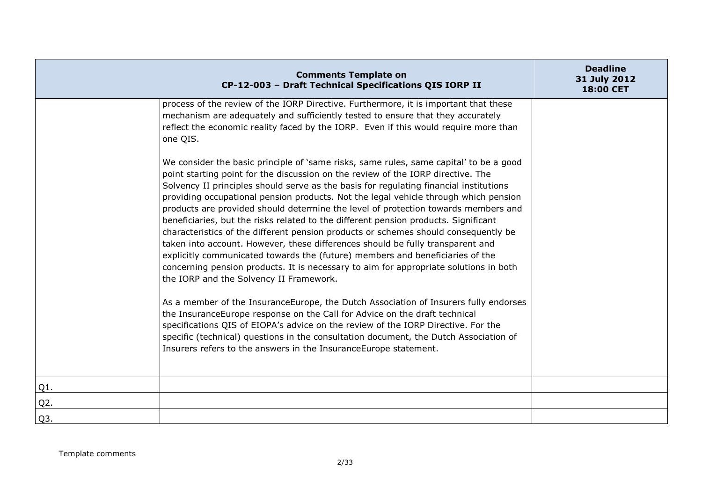|                  | <b>Comments Template on</b><br>CP-12-003 - Draft Technical Specifications QIS IORP II                                                                                                                                                                                                                                                                                                                                                                                                                                                                                                                                                                                                                                                                                                                                                                                                                                                   | <b>Deadline</b><br>31 July 2012<br>18:00 CET |
|------------------|-----------------------------------------------------------------------------------------------------------------------------------------------------------------------------------------------------------------------------------------------------------------------------------------------------------------------------------------------------------------------------------------------------------------------------------------------------------------------------------------------------------------------------------------------------------------------------------------------------------------------------------------------------------------------------------------------------------------------------------------------------------------------------------------------------------------------------------------------------------------------------------------------------------------------------------------|----------------------------------------------|
|                  | process of the review of the IORP Directive. Furthermore, it is important that these<br>mechanism are adequately and sufficiently tested to ensure that they accurately<br>reflect the economic reality faced by the IORP. Even if this would require more than<br>one QIS.                                                                                                                                                                                                                                                                                                                                                                                                                                                                                                                                                                                                                                                             |                                              |
|                  | We consider the basic principle of 'same risks, same rules, same capital' to be a good<br>point starting point for the discussion on the review of the IORP directive. The<br>Solvency II principles should serve as the basis for regulating financial institutions<br>providing occupational pension products. Not the legal vehicle through which pension<br>products are provided should determine the level of protection towards members and<br>beneficiaries, but the risks related to the different pension products. Significant<br>characteristics of the different pension products or schemes should consequently be<br>taken into account. However, these differences should be fully transparent and<br>explicitly communicated towards the (future) members and beneficiaries of the<br>concerning pension products. It is necessary to aim for appropriate solutions in both<br>the IORP and the Solvency II Framework. |                                              |
|                  | As a member of the InsuranceEurope, the Dutch Association of Insurers fully endorses<br>the InsuranceEurope response on the Call for Advice on the draft technical<br>specifications QIS of EIOPA's advice on the review of the IORP Directive. For the<br>specific (technical) questions in the consultation document, the Dutch Association of<br>Insurers refers to the answers in the InsuranceEurope statement.                                                                                                                                                                                                                                                                                                                                                                                                                                                                                                                    |                                              |
| $Q1$ .           |                                                                                                                                                                                                                                                                                                                                                                                                                                                                                                                                                                                                                                                                                                                                                                                                                                                                                                                                         |                                              |
| Q2.              |                                                                                                                                                                                                                                                                                                                                                                                                                                                                                                                                                                                                                                                                                                                                                                                                                                                                                                                                         |                                              |
| Q <sub>3</sub> . |                                                                                                                                                                                                                                                                                                                                                                                                                                                                                                                                                                                                                                                                                                                                                                                                                                                                                                                                         |                                              |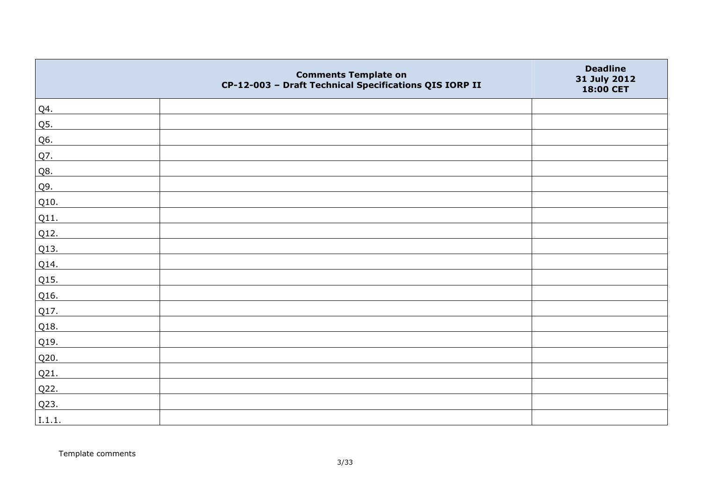|        | <b>Comments Template on</b><br>CP-12-003 - Draft Technical Specifications QIS IORP II | <b>Deadline</b><br>31 July 2012<br>18:00 CET |
|--------|---------------------------------------------------------------------------------------|----------------------------------------------|
| Q4.    |                                                                                       |                                              |
| Q5.    |                                                                                       |                                              |
| Q6.    |                                                                                       |                                              |
| Q7.    |                                                                                       |                                              |
| Q8.    |                                                                                       |                                              |
| Q9.    |                                                                                       |                                              |
| Q10.   |                                                                                       |                                              |
| Q11.   |                                                                                       |                                              |
| Q12.   |                                                                                       |                                              |
| Q13.   |                                                                                       |                                              |
| Q14.   |                                                                                       |                                              |
| Q15.   |                                                                                       |                                              |
| Q16.   |                                                                                       |                                              |
| Q17.   |                                                                                       |                                              |
| Q18.   |                                                                                       |                                              |
| Q19.   |                                                                                       |                                              |
| Q20.   |                                                                                       |                                              |
| Q21.   |                                                                                       |                                              |
| Q22.   |                                                                                       |                                              |
| Q23.   |                                                                                       |                                              |
| I.1.1. |                                                                                       |                                              |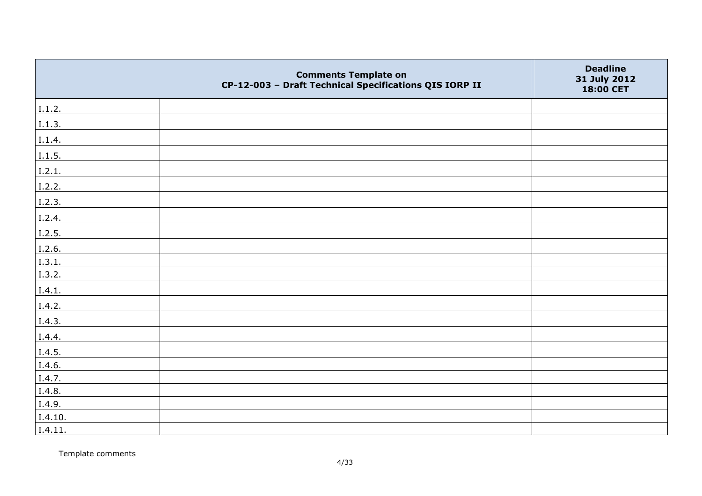|         | <b>Comments Template on</b><br>CP-12-003 - Draft Technical Specifications QIS IORP II | <b>Deadline</b><br>31 July 2012<br>18:00 CET |
|---------|---------------------------------------------------------------------------------------|----------------------------------------------|
| I.1.2.  |                                                                                       |                                              |
| I.1.3.  |                                                                                       |                                              |
| I.1.4.  |                                                                                       |                                              |
| 1.1.5.  |                                                                                       |                                              |
| I.2.1.  |                                                                                       |                                              |
| I.2.2.  |                                                                                       |                                              |
| I.2.3.  |                                                                                       |                                              |
| I.2.4.  |                                                                                       |                                              |
| I.2.5.  |                                                                                       |                                              |
| I.2.6.  |                                                                                       |                                              |
| I.3.1.  |                                                                                       |                                              |
| I.3.2.  |                                                                                       |                                              |
| I.4.1.  |                                                                                       |                                              |
| I.4.2.  |                                                                                       |                                              |
| I.4.3.  |                                                                                       |                                              |
| I.4.4.  |                                                                                       |                                              |
| I.4.5.  |                                                                                       |                                              |
| I.4.6.  |                                                                                       |                                              |
| I.4.7.  |                                                                                       |                                              |
| I.4.8.  |                                                                                       |                                              |
| I.4.9.  |                                                                                       |                                              |
| I.4.10. |                                                                                       |                                              |
| I.4.11. |                                                                                       |                                              |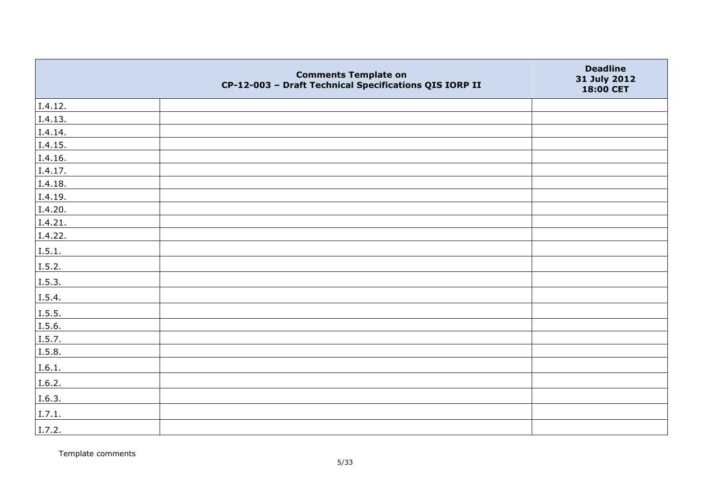|         | <b>Comments Template on</b><br>CP-12-003 - Draft Technical Specifications QIS IORP II | <b>Deadline</b><br>31 July 2012<br>18:00 CET |
|---------|---------------------------------------------------------------------------------------|----------------------------------------------|
| I.4.12. |                                                                                       |                                              |
| I.4.13. |                                                                                       |                                              |
| I.4.14. |                                                                                       |                                              |
| I.4.15. |                                                                                       |                                              |
| I.4.16. |                                                                                       |                                              |
| I.4.17. |                                                                                       |                                              |
| I.4.18. |                                                                                       |                                              |
| I.4.19. |                                                                                       |                                              |
| I.4.20. |                                                                                       |                                              |
| I.4.21. |                                                                                       |                                              |
| I.4.22. |                                                                                       |                                              |
| I.5.1.  |                                                                                       |                                              |
| I.5.2.  |                                                                                       |                                              |
| I.5.3.  |                                                                                       |                                              |
| I.5.4.  |                                                                                       |                                              |
| I.5.5.  |                                                                                       |                                              |
| I.5.6.  |                                                                                       |                                              |
| I.5.7.  |                                                                                       |                                              |
| I.5.8.  |                                                                                       |                                              |
| I.6.1.  |                                                                                       |                                              |
| I.6.2.  |                                                                                       |                                              |
| I.6.3.  |                                                                                       |                                              |
| I.7.1.  |                                                                                       |                                              |
| I.7.2.  |                                                                                       |                                              |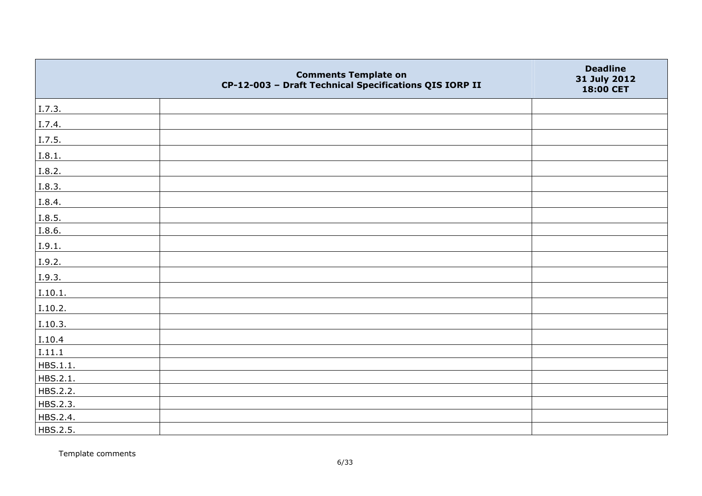|          | <b>Comments Template on</b><br>CP-12-003 - Draft Technical Specifications QIS IORP II | <b>Deadline</b><br>31 July 2012<br>18:00 CET |
|----------|---------------------------------------------------------------------------------------|----------------------------------------------|
| I.7.3.   |                                                                                       |                                              |
| I.7.4.   |                                                                                       |                                              |
| I.7.5.   |                                                                                       |                                              |
| I.8.1.   |                                                                                       |                                              |
| I.8.2.   |                                                                                       |                                              |
| I.8.3.   |                                                                                       |                                              |
| I.8.4.   |                                                                                       |                                              |
| I.8.5.   |                                                                                       |                                              |
| I.8.6.   |                                                                                       |                                              |
| I.9.1.   |                                                                                       |                                              |
| I.9.2.   |                                                                                       |                                              |
| I.9.3.   |                                                                                       |                                              |
| I.10.1.  |                                                                                       |                                              |
| I.10.2.  |                                                                                       |                                              |
| I.10.3.  |                                                                                       |                                              |
| I.10.4   |                                                                                       |                                              |
| I.11.1   |                                                                                       |                                              |
| HBS.1.1. |                                                                                       |                                              |
| HBS.2.1. |                                                                                       |                                              |
| HBS.2.2. |                                                                                       |                                              |
| HBS.2.3. |                                                                                       |                                              |
| HBS.2.4. |                                                                                       |                                              |
| HBS.2.5. |                                                                                       |                                              |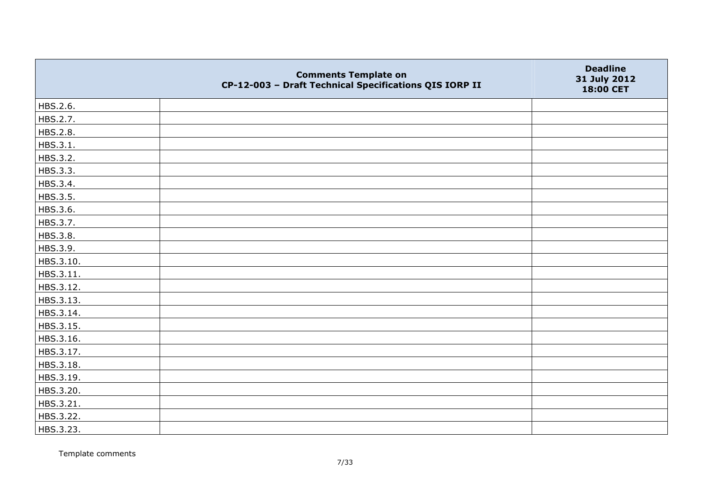|           | <b>Comments Template on</b><br>CP-12-003 - Draft Technical Specifications QIS IORP II | <b>Deadline</b><br>31 July 2012<br>18:00 CET |
|-----------|---------------------------------------------------------------------------------------|----------------------------------------------|
| HBS.2.6.  |                                                                                       |                                              |
| HBS.2.7.  |                                                                                       |                                              |
| HBS.2.8.  |                                                                                       |                                              |
| HBS.3.1.  |                                                                                       |                                              |
| HBS.3.2.  |                                                                                       |                                              |
| HBS.3.3.  |                                                                                       |                                              |
| HBS.3.4.  |                                                                                       |                                              |
| HBS.3.5.  |                                                                                       |                                              |
| HBS.3.6.  |                                                                                       |                                              |
| HBS.3.7.  |                                                                                       |                                              |
| HBS.3.8.  |                                                                                       |                                              |
| HBS.3.9.  |                                                                                       |                                              |
| HBS.3.10. |                                                                                       |                                              |
| HBS.3.11. |                                                                                       |                                              |
| HBS.3.12. |                                                                                       |                                              |
| HBS.3.13. |                                                                                       |                                              |
| HBS.3.14. |                                                                                       |                                              |
| HBS.3.15. |                                                                                       |                                              |
| HBS.3.16. |                                                                                       |                                              |
| HBS.3.17. |                                                                                       |                                              |
| HBS.3.18. |                                                                                       |                                              |
| HBS.3.19. |                                                                                       |                                              |
| HBS.3.20. |                                                                                       |                                              |
| HBS.3.21. |                                                                                       |                                              |
| HBS.3.22. |                                                                                       |                                              |
| HBS.3.23. |                                                                                       |                                              |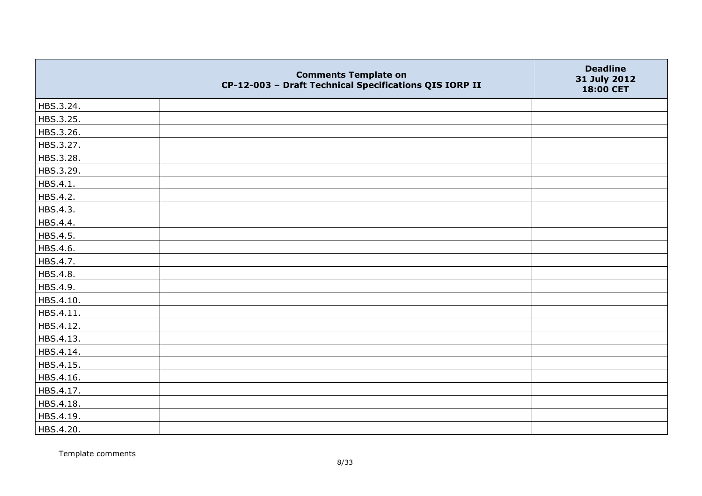|           | <b>Comments Template on</b><br>CP-12-003 - Draft Technical Specifications QIS IORP II | <b>Deadline</b><br>31 July 2012<br>18:00 CET |
|-----------|---------------------------------------------------------------------------------------|----------------------------------------------|
| HBS.3.24. |                                                                                       |                                              |
| HBS.3.25. |                                                                                       |                                              |
| HBS.3.26. |                                                                                       |                                              |
| HBS.3.27. |                                                                                       |                                              |
| HBS.3.28. |                                                                                       |                                              |
| HBS.3.29. |                                                                                       |                                              |
| HBS.4.1.  |                                                                                       |                                              |
| HBS.4.2.  |                                                                                       |                                              |
| HBS.4.3.  |                                                                                       |                                              |
| HBS.4.4.  |                                                                                       |                                              |
| HBS.4.5.  |                                                                                       |                                              |
| HBS.4.6.  |                                                                                       |                                              |
| HBS.4.7.  |                                                                                       |                                              |
| HBS.4.8.  |                                                                                       |                                              |
| HBS.4.9.  |                                                                                       |                                              |
| HBS.4.10. |                                                                                       |                                              |
| HBS.4.11. |                                                                                       |                                              |
| HBS.4.12. |                                                                                       |                                              |
| HBS.4.13. |                                                                                       |                                              |
| HBS.4.14. |                                                                                       |                                              |
| HBS.4.15. |                                                                                       |                                              |
| HBS.4.16. |                                                                                       |                                              |
| HBS.4.17. |                                                                                       |                                              |
| HBS.4.18. |                                                                                       |                                              |
| HBS.4.19. |                                                                                       |                                              |
| HBS.4.20. |                                                                                       |                                              |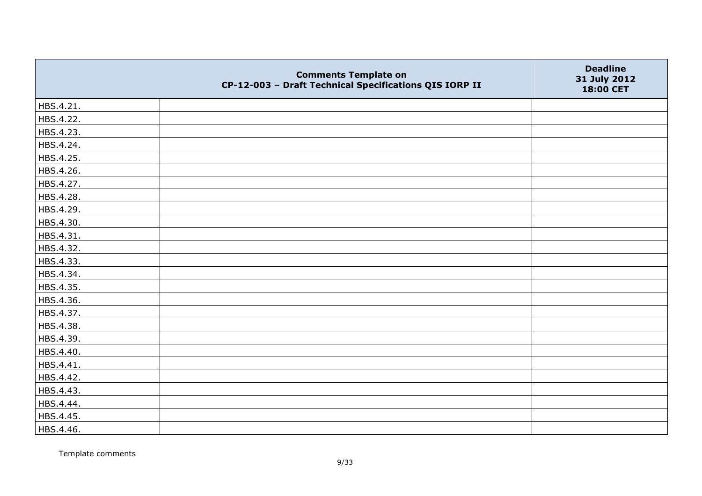|           | <b>Comments Template on</b><br>CP-12-003 - Draft Technical Specifications QIS IORP II | <b>Deadline</b><br>31 July 2012<br>18:00 CET |
|-----------|---------------------------------------------------------------------------------------|----------------------------------------------|
| HBS.4.21. |                                                                                       |                                              |
| HBS.4.22. |                                                                                       |                                              |
| HBS.4.23. |                                                                                       |                                              |
| HBS.4.24. |                                                                                       |                                              |
| HBS.4.25. |                                                                                       |                                              |
| HBS.4.26. |                                                                                       |                                              |
| HBS.4.27. |                                                                                       |                                              |
| HBS.4.28. |                                                                                       |                                              |
| HBS.4.29. |                                                                                       |                                              |
| HBS.4.30. |                                                                                       |                                              |
| HBS.4.31. |                                                                                       |                                              |
| HBS.4.32. |                                                                                       |                                              |
| HBS.4.33. |                                                                                       |                                              |
| HBS.4.34. |                                                                                       |                                              |
| HBS.4.35. |                                                                                       |                                              |
| HBS.4.36. |                                                                                       |                                              |
| HBS.4.37. |                                                                                       |                                              |
| HBS.4.38. |                                                                                       |                                              |
| HBS.4.39. |                                                                                       |                                              |
| HBS.4.40. |                                                                                       |                                              |
| HBS.4.41. |                                                                                       |                                              |
| HBS.4.42. |                                                                                       |                                              |
| HBS.4.43. |                                                                                       |                                              |
| HBS.4.44. |                                                                                       |                                              |
| HBS.4.45. |                                                                                       |                                              |
| HBS.4.46. |                                                                                       |                                              |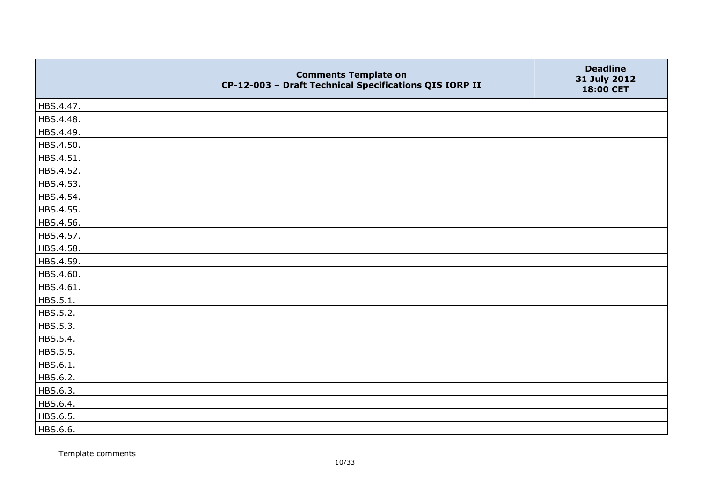|           | <b>Comments Template on</b><br>CP-12-003 - Draft Technical Specifications QIS IORP II | <b>Deadline</b><br>31 July 2012<br>18:00 CET |
|-----------|---------------------------------------------------------------------------------------|----------------------------------------------|
| HBS.4.47. |                                                                                       |                                              |
| HBS.4.48. |                                                                                       |                                              |
| HBS.4.49. |                                                                                       |                                              |
| HBS.4.50. |                                                                                       |                                              |
| HBS.4.51. |                                                                                       |                                              |
| HBS.4.52. |                                                                                       |                                              |
| HBS.4.53. |                                                                                       |                                              |
| HBS.4.54. |                                                                                       |                                              |
| HBS.4.55. |                                                                                       |                                              |
| HBS.4.56. |                                                                                       |                                              |
| HBS.4.57. |                                                                                       |                                              |
| HBS.4.58. |                                                                                       |                                              |
| HBS.4.59. |                                                                                       |                                              |
| HBS.4.60. |                                                                                       |                                              |
| HBS.4.61. |                                                                                       |                                              |
| HBS.5.1.  |                                                                                       |                                              |
| HBS.5.2.  |                                                                                       |                                              |
| HBS.5.3.  |                                                                                       |                                              |
| HBS.5.4.  |                                                                                       |                                              |
| HBS.5.5.  |                                                                                       |                                              |
| HBS.6.1.  |                                                                                       |                                              |
| HBS.6.2.  |                                                                                       |                                              |
| HBS.6.3.  |                                                                                       |                                              |
| HBS.6.4.  |                                                                                       |                                              |
| HBS.6.5.  |                                                                                       |                                              |
| HBS.6.6.  |                                                                                       |                                              |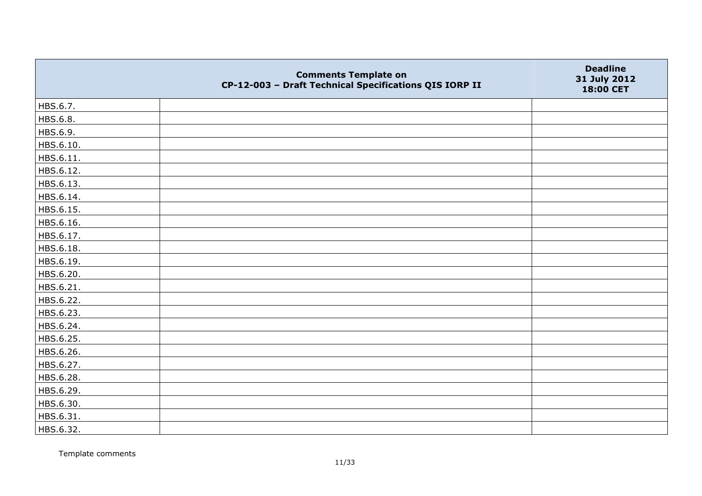|           | <b>Comments Template on</b><br>CP-12-003 - Draft Technical Specifications QIS IORP II | <b>Deadline</b><br>31 July 2012<br>18:00 CET |
|-----------|---------------------------------------------------------------------------------------|----------------------------------------------|
| HBS.6.7.  |                                                                                       |                                              |
| HBS.6.8.  |                                                                                       |                                              |
| HBS.6.9.  |                                                                                       |                                              |
| HBS.6.10. |                                                                                       |                                              |
| HBS.6.11. |                                                                                       |                                              |
| HBS.6.12. |                                                                                       |                                              |
| HBS.6.13. |                                                                                       |                                              |
| HBS.6.14. |                                                                                       |                                              |
| HBS.6.15. |                                                                                       |                                              |
| HBS.6.16. |                                                                                       |                                              |
| HBS.6.17. |                                                                                       |                                              |
| HBS.6.18. |                                                                                       |                                              |
| HBS.6.19. |                                                                                       |                                              |
| HBS.6.20. |                                                                                       |                                              |
| HBS.6.21. |                                                                                       |                                              |
| HBS.6.22. |                                                                                       |                                              |
| HBS.6.23. |                                                                                       |                                              |
| HBS.6.24. |                                                                                       |                                              |
| HBS.6.25. |                                                                                       |                                              |
| HBS.6.26. |                                                                                       |                                              |
| HBS.6.27. |                                                                                       |                                              |
| HBS.6.28. |                                                                                       |                                              |
| HBS.6.29. |                                                                                       |                                              |
| HBS.6.30. |                                                                                       |                                              |
| HBS.6.31. |                                                                                       |                                              |
| HBS.6.32. |                                                                                       |                                              |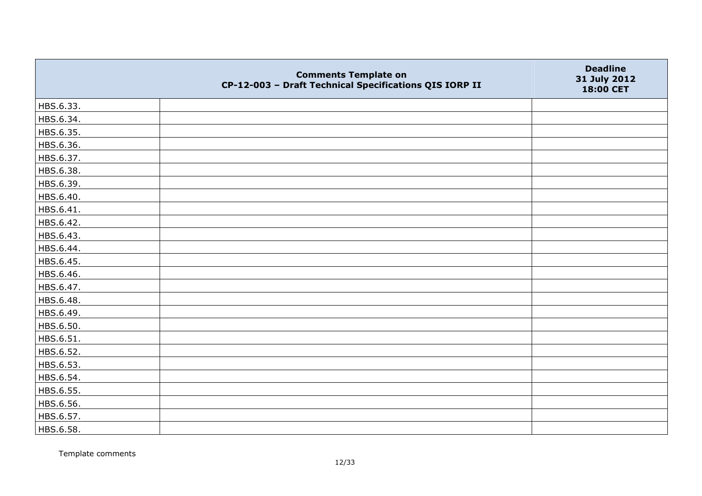|           | <b>Comments Template on</b><br>CP-12-003 - Draft Technical Specifications QIS IORP II | <b>Deadline</b><br>31 July 2012<br>18:00 CET |
|-----------|---------------------------------------------------------------------------------------|----------------------------------------------|
| HBS.6.33. |                                                                                       |                                              |
| HBS.6.34. |                                                                                       |                                              |
| HBS.6.35. |                                                                                       |                                              |
| HBS.6.36. |                                                                                       |                                              |
| HBS.6.37. |                                                                                       |                                              |
| HBS.6.38. |                                                                                       |                                              |
| HBS.6.39. |                                                                                       |                                              |
| HBS.6.40. |                                                                                       |                                              |
| HBS.6.41. |                                                                                       |                                              |
| HBS.6.42. |                                                                                       |                                              |
| HBS.6.43. |                                                                                       |                                              |
| HBS.6.44. |                                                                                       |                                              |
| HBS.6.45. |                                                                                       |                                              |
| HBS.6.46. |                                                                                       |                                              |
| HBS.6.47. |                                                                                       |                                              |
| HBS.6.48. |                                                                                       |                                              |
| HBS.6.49. |                                                                                       |                                              |
| HBS.6.50. |                                                                                       |                                              |
| HBS.6.51. |                                                                                       |                                              |
| HBS.6.52. |                                                                                       |                                              |
| HBS.6.53. |                                                                                       |                                              |
| HBS.6.54. |                                                                                       |                                              |
| HBS.6.55. |                                                                                       |                                              |
| HBS.6.56. |                                                                                       |                                              |
| HBS.6.57. |                                                                                       |                                              |
| HBS.6.58. |                                                                                       |                                              |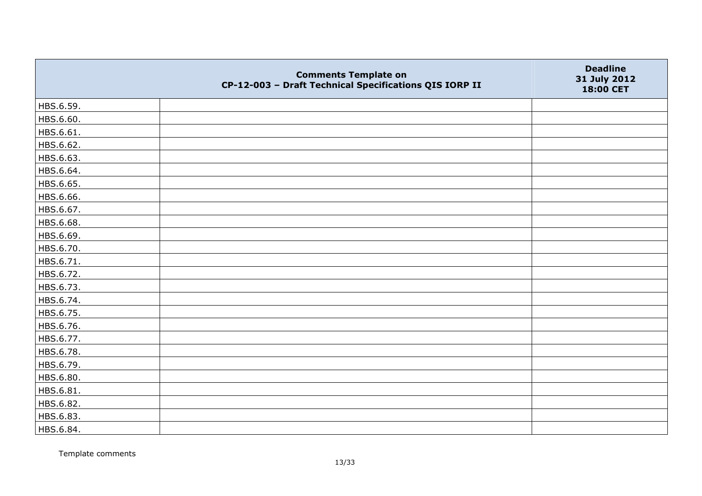|           | <b>Comments Template on</b><br>CP-12-003 - Draft Technical Specifications QIS IORP II | <b>Deadline</b><br>31 July 2012<br>18:00 CET |
|-----------|---------------------------------------------------------------------------------------|----------------------------------------------|
| HBS.6.59. |                                                                                       |                                              |
| HBS.6.60. |                                                                                       |                                              |
| HBS.6.61. |                                                                                       |                                              |
| HBS.6.62. |                                                                                       |                                              |
| HBS.6.63. |                                                                                       |                                              |
| HBS.6.64. |                                                                                       |                                              |
| HBS.6.65. |                                                                                       |                                              |
| HBS.6.66. |                                                                                       |                                              |
| HBS.6.67. |                                                                                       |                                              |
| HBS.6.68. |                                                                                       |                                              |
| HBS.6.69. |                                                                                       |                                              |
| HBS.6.70. |                                                                                       |                                              |
| HBS.6.71. |                                                                                       |                                              |
| HBS.6.72. |                                                                                       |                                              |
| HBS.6.73. |                                                                                       |                                              |
| HBS.6.74. |                                                                                       |                                              |
| HBS.6.75. |                                                                                       |                                              |
| HBS.6.76. |                                                                                       |                                              |
| HBS.6.77. |                                                                                       |                                              |
| HBS.6.78. |                                                                                       |                                              |
| HBS.6.79. |                                                                                       |                                              |
| HBS.6.80. |                                                                                       |                                              |
| HBS.6.81. |                                                                                       |                                              |
| HBS.6.82. |                                                                                       |                                              |
| HBS.6.83. |                                                                                       |                                              |
| HBS.6.84. |                                                                                       |                                              |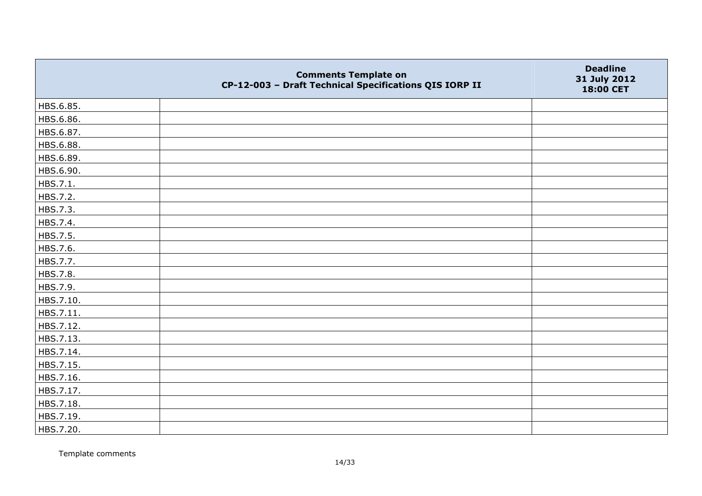|           | <b>Comments Template on</b><br>CP-12-003 - Draft Technical Specifications QIS IORP II | <b>Deadline</b><br>31 July 2012<br>18:00 CET |
|-----------|---------------------------------------------------------------------------------------|----------------------------------------------|
| HBS.6.85. |                                                                                       |                                              |
| HBS.6.86. |                                                                                       |                                              |
| HBS.6.87. |                                                                                       |                                              |
| HBS.6.88. |                                                                                       |                                              |
| HBS.6.89. |                                                                                       |                                              |
| HBS.6.90. |                                                                                       |                                              |
| HBS.7.1.  |                                                                                       |                                              |
| HBS.7.2.  |                                                                                       |                                              |
| HBS.7.3.  |                                                                                       |                                              |
| HBS.7.4.  |                                                                                       |                                              |
| HBS.7.5.  |                                                                                       |                                              |
| HBS.7.6.  |                                                                                       |                                              |
| HBS.7.7.  |                                                                                       |                                              |
| HBS.7.8.  |                                                                                       |                                              |
| HBS.7.9.  |                                                                                       |                                              |
| HBS.7.10. |                                                                                       |                                              |
| HBS.7.11. |                                                                                       |                                              |
| HBS.7.12. |                                                                                       |                                              |
| HBS.7.13. |                                                                                       |                                              |
| HBS.7.14. |                                                                                       |                                              |
| HBS.7.15. |                                                                                       |                                              |
| HBS.7.16. |                                                                                       |                                              |
| HBS.7.17. |                                                                                       |                                              |
| HBS.7.18. |                                                                                       |                                              |
| HBS.7.19. |                                                                                       |                                              |
| HBS.7.20. |                                                                                       |                                              |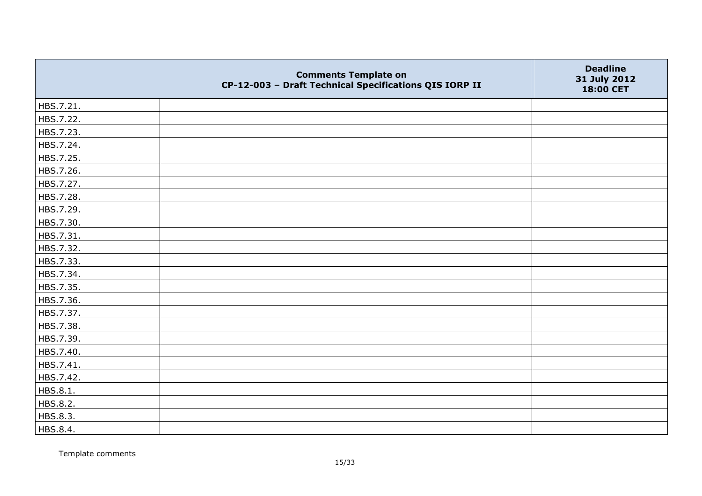|           | <b>Comments Template on</b><br>CP-12-003 - Draft Technical Specifications QIS IORP II | <b>Deadline</b><br>31 July 2012<br>18:00 CET |
|-----------|---------------------------------------------------------------------------------------|----------------------------------------------|
| HBS.7.21. |                                                                                       |                                              |
| HBS.7.22. |                                                                                       |                                              |
| HBS.7.23. |                                                                                       |                                              |
| HBS.7.24. |                                                                                       |                                              |
| HBS.7.25. |                                                                                       |                                              |
| HBS.7.26. |                                                                                       |                                              |
| HBS.7.27. |                                                                                       |                                              |
| HBS.7.28. |                                                                                       |                                              |
| HBS.7.29. |                                                                                       |                                              |
| HBS.7.30. |                                                                                       |                                              |
| HBS.7.31. |                                                                                       |                                              |
| HBS.7.32. |                                                                                       |                                              |
| HBS.7.33. |                                                                                       |                                              |
| HBS.7.34. |                                                                                       |                                              |
| HBS.7.35. |                                                                                       |                                              |
| HBS.7.36. |                                                                                       |                                              |
| HBS.7.37. |                                                                                       |                                              |
| HBS.7.38. |                                                                                       |                                              |
| HBS.7.39. |                                                                                       |                                              |
| HBS.7.40. |                                                                                       |                                              |
| HBS.7.41. |                                                                                       |                                              |
| HBS.7.42. |                                                                                       |                                              |
| HBS.8.1.  |                                                                                       |                                              |
| HBS.8.2.  |                                                                                       |                                              |
| HBS.8.3.  |                                                                                       |                                              |
| HBS.8.4.  |                                                                                       |                                              |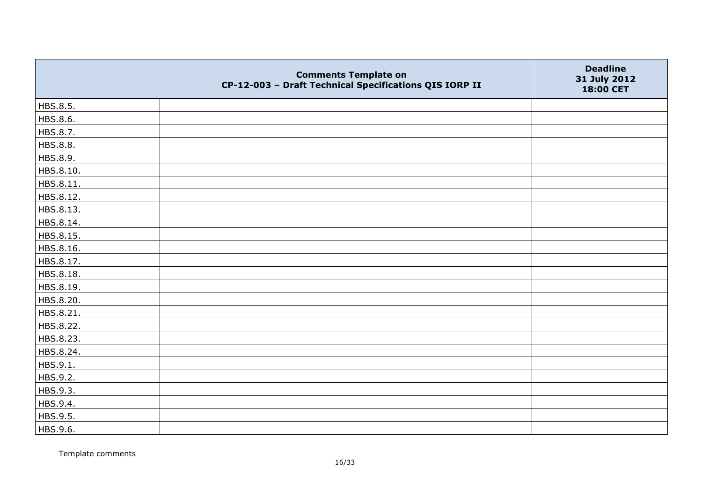|           | <b>Comments Template on</b><br>CP-12-003 - Draft Technical Specifications QIS IORP II | <b>Deadline</b><br>31 July 2012<br>18:00 CET |
|-----------|---------------------------------------------------------------------------------------|----------------------------------------------|
| HBS.8.5.  |                                                                                       |                                              |
| HBS.8.6.  |                                                                                       |                                              |
| HBS.8.7.  |                                                                                       |                                              |
| HBS.8.8.  |                                                                                       |                                              |
| HBS.8.9.  |                                                                                       |                                              |
| HBS.8.10. |                                                                                       |                                              |
| HBS.8.11. |                                                                                       |                                              |
| HBS.8.12. |                                                                                       |                                              |
| HBS.8.13. |                                                                                       |                                              |
| HBS.8.14. |                                                                                       |                                              |
| HBS.8.15. |                                                                                       |                                              |
| HBS.8.16. |                                                                                       |                                              |
| HBS.8.17. |                                                                                       |                                              |
| HBS.8.18. |                                                                                       |                                              |
| HBS.8.19. |                                                                                       |                                              |
| HBS.8.20. |                                                                                       |                                              |
| HBS.8.21. |                                                                                       |                                              |
| HBS.8.22. |                                                                                       |                                              |
| HBS.8.23. |                                                                                       |                                              |
| HBS.8.24. |                                                                                       |                                              |
| HBS.9.1.  |                                                                                       |                                              |
| HBS.9.2.  |                                                                                       |                                              |
| HBS.9.3.  |                                                                                       |                                              |
| HBS.9.4.  |                                                                                       |                                              |
| HBS.9.5.  |                                                                                       |                                              |
| HBS.9.6.  |                                                                                       |                                              |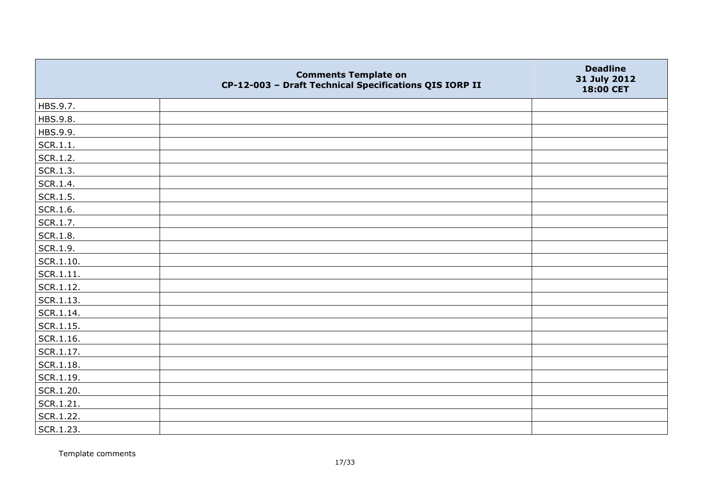|                   | <b>Comments Template on</b><br>CP-12-003 - Draft Technical Specifications QIS IORP II | <b>Deadline</b><br>31 July 2012<br>18:00 CET |
|-------------------|---------------------------------------------------------------------------------------|----------------------------------------------|
| HBS.9.7.          |                                                                                       |                                              |
| HBS.9.8.          |                                                                                       |                                              |
| HBS.9.9.          |                                                                                       |                                              |
| SCR.1.1.          |                                                                                       |                                              |
| SCR.1.2.          |                                                                                       |                                              |
| SCR.1.3.          |                                                                                       |                                              |
| SCR.1.4.          |                                                                                       |                                              |
| SCR.1.5.          |                                                                                       |                                              |
| SCR.1.6.          |                                                                                       |                                              |
| SCR.1.7.          |                                                                                       |                                              |
| <b>SCR.1.8.</b>   |                                                                                       |                                              |
| SCR.1.9.          |                                                                                       |                                              |
| SCR.1.10.         |                                                                                       |                                              |
| SCR.1.11.         |                                                                                       |                                              |
| SCR.1.12.         |                                                                                       |                                              |
| SCR.1.13.         |                                                                                       |                                              |
| SCR.1.14.         |                                                                                       |                                              |
| $\vert$ SCR.1.15. |                                                                                       |                                              |
| SCR.1.16.         |                                                                                       |                                              |
| SCR.1.17.         |                                                                                       |                                              |
| $ $ SCR.1.18.     |                                                                                       |                                              |
| SCR.1.19.         |                                                                                       |                                              |
| SCR.1.20.         |                                                                                       |                                              |
| SCR.1.21.         |                                                                                       |                                              |
| SCR.1.22.         |                                                                                       |                                              |
| SCR.1.23.         |                                                                                       |                                              |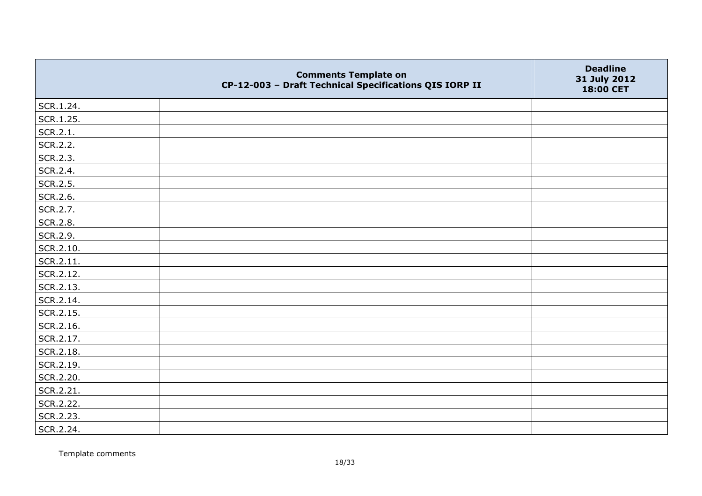|           | <b>Comments Template on</b><br>CP-12-003 - Draft Technical Specifications QIS IORP II | <b>Deadline</b><br>31 July 2012<br>18:00 CET |
|-----------|---------------------------------------------------------------------------------------|----------------------------------------------|
| SCR.1.24. |                                                                                       |                                              |
| SCR.1.25. |                                                                                       |                                              |
| SCR.2.1.  |                                                                                       |                                              |
| SCR.2.2.  |                                                                                       |                                              |
| SCR.2.3.  |                                                                                       |                                              |
| SCR.2.4.  |                                                                                       |                                              |
| SCR.2.5.  |                                                                                       |                                              |
| SCR.2.6.  |                                                                                       |                                              |
| SCR.2.7.  |                                                                                       |                                              |
| SCR.2.8.  |                                                                                       |                                              |
| SCR.2.9.  |                                                                                       |                                              |
| SCR.2.10. |                                                                                       |                                              |
| SCR.2.11. |                                                                                       |                                              |
| SCR.2.12. |                                                                                       |                                              |
| SCR.2.13. |                                                                                       |                                              |
| SCR.2.14. |                                                                                       |                                              |
| SCR.2.15. |                                                                                       |                                              |
| SCR.2.16. |                                                                                       |                                              |
| SCR.2.17. |                                                                                       |                                              |
| SCR.2.18. |                                                                                       |                                              |
| SCR.2.19. |                                                                                       |                                              |
| SCR.2.20. |                                                                                       |                                              |
| SCR.2.21. |                                                                                       |                                              |
| SCR.2.22. |                                                                                       |                                              |
| SCR.2.23. |                                                                                       |                                              |
| SCR.2.24. |                                                                                       |                                              |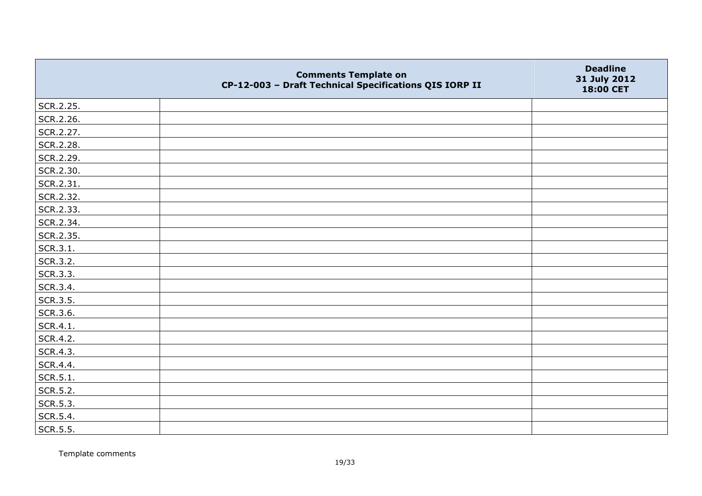|           | <b>Comments Template on</b><br>CP-12-003 - Draft Technical Specifications QIS IORP II | <b>Deadline</b><br>31 July 2012<br>18:00 CET |
|-----------|---------------------------------------------------------------------------------------|----------------------------------------------|
| SCR.2.25. |                                                                                       |                                              |
| SCR.2.26. |                                                                                       |                                              |
| SCR.2.27. |                                                                                       |                                              |
| SCR.2.28. |                                                                                       |                                              |
| SCR.2.29. |                                                                                       |                                              |
| SCR.2.30. |                                                                                       |                                              |
| SCR.2.31. |                                                                                       |                                              |
| SCR.2.32. |                                                                                       |                                              |
| SCR.2.33. |                                                                                       |                                              |
| SCR.2.34. |                                                                                       |                                              |
| SCR.2.35. |                                                                                       |                                              |
| SCR.3.1.  |                                                                                       |                                              |
| SCR.3.2.  |                                                                                       |                                              |
| SCR.3.3.  |                                                                                       |                                              |
| SCR.3.4.  |                                                                                       |                                              |
| SCR.3.5.  |                                                                                       |                                              |
| SCR.3.6.  |                                                                                       |                                              |
| SCR.4.1.  |                                                                                       |                                              |
| SCR.4.2.  |                                                                                       |                                              |
| SCR.4.3.  |                                                                                       |                                              |
| SCR.4.4.  |                                                                                       |                                              |
| SCR.5.1.  |                                                                                       |                                              |
| SCR.5.2.  |                                                                                       |                                              |
| SCR.5.3.  |                                                                                       |                                              |
| SCR.5.4.  |                                                                                       |                                              |
| SCR.5.5.  |                                                                                       |                                              |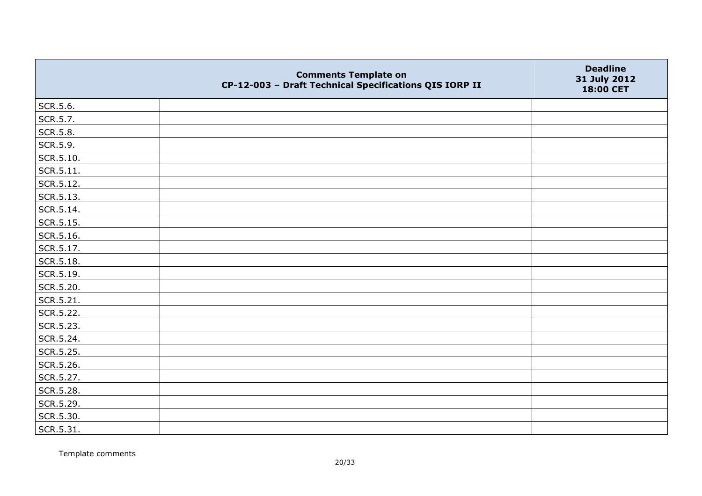|                   | <b>Comments Template on</b><br>CP-12-003 - Draft Technical Specifications QIS IORP II | <b>Deadline</b><br>31 July 2012<br>18:00 CET |
|-------------------|---------------------------------------------------------------------------------------|----------------------------------------------|
| SCR.5.6.          |                                                                                       |                                              |
| SCR.5.7.          |                                                                                       |                                              |
| SCR.5.8.          |                                                                                       |                                              |
| SCR.5.9.          |                                                                                       |                                              |
| SCR.5.10.         |                                                                                       |                                              |
| $\vert$ SCR.5.11. |                                                                                       |                                              |
| SCR.5.12.         |                                                                                       |                                              |
| SCR.5.13.         |                                                                                       |                                              |
| SCR.5.14.         |                                                                                       |                                              |
| SCR.5.15.         |                                                                                       |                                              |
| SCR.5.16.         |                                                                                       |                                              |
| SCR.5.17.         |                                                                                       |                                              |
| SCR.5.18.         |                                                                                       |                                              |
| SCR.5.19.         |                                                                                       |                                              |
| SCR.5.20.         |                                                                                       |                                              |
| SCR.5.21.         |                                                                                       |                                              |
| SCR.5.22.         |                                                                                       |                                              |
| SCR.5.23.         |                                                                                       |                                              |
| SCR.5.24.         |                                                                                       |                                              |
| SCR.5.25.         |                                                                                       |                                              |
| SCR.5.26.         |                                                                                       |                                              |
| SCR.5.27.         |                                                                                       |                                              |
| SCR.5.28.         |                                                                                       |                                              |
| SCR.5.29.         |                                                                                       |                                              |
| SCR.5.30.         |                                                                                       |                                              |
| SCR.5.31.         |                                                                                       |                                              |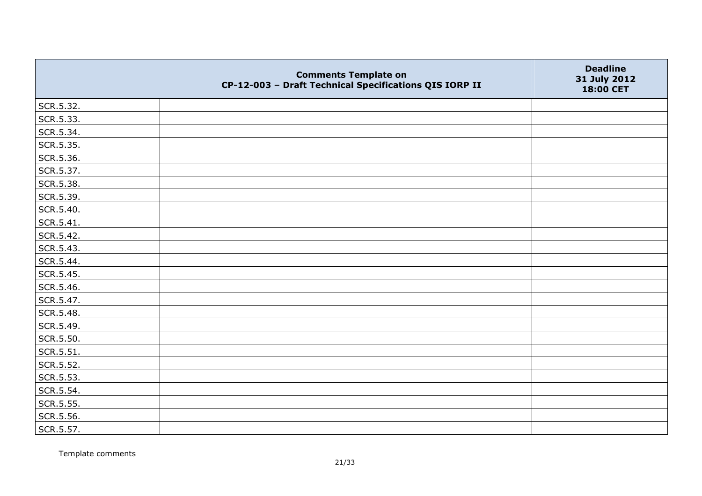|           | <b>Comments Template on</b><br>CP-12-003 - Draft Technical Specifications QIS IORP II | <b>Deadline</b><br>31 July 2012<br>18:00 CET |
|-----------|---------------------------------------------------------------------------------------|----------------------------------------------|
| SCR.5.32. |                                                                                       |                                              |
| SCR.5.33. |                                                                                       |                                              |
| SCR.5.34. |                                                                                       |                                              |
| SCR.5.35. |                                                                                       |                                              |
| SCR.5.36. |                                                                                       |                                              |
| SCR.5.37. |                                                                                       |                                              |
| SCR.5.38. |                                                                                       |                                              |
| SCR.5.39. |                                                                                       |                                              |
| SCR.5.40. |                                                                                       |                                              |
| SCR.5.41. |                                                                                       |                                              |
| SCR.5.42. |                                                                                       |                                              |
| SCR.5.43. |                                                                                       |                                              |
| SCR.5.44. |                                                                                       |                                              |
| SCR.5.45. |                                                                                       |                                              |
| SCR.5.46. |                                                                                       |                                              |
| SCR.5.47. |                                                                                       |                                              |
| SCR.5.48. |                                                                                       |                                              |
| SCR.5.49. |                                                                                       |                                              |
| SCR.5.50. |                                                                                       |                                              |
| SCR.5.51. |                                                                                       |                                              |
| SCR.5.52. |                                                                                       |                                              |
| SCR.5.53. |                                                                                       |                                              |
| SCR.5.54. |                                                                                       |                                              |
| SCR.5.55. |                                                                                       |                                              |
| SCR.5.56. |                                                                                       |                                              |
| SCR.5.57. |                                                                                       |                                              |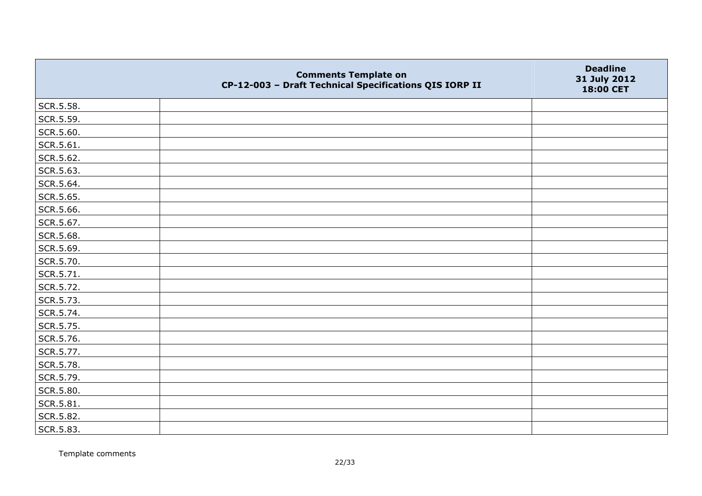|           | <b>Comments Template on</b><br>CP-12-003 - Draft Technical Specifications QIS IORP II | <b>Deadline</b><br>31 July 2012<br>18:00 CET |
|-----------|---------------------------------------------------------------------------------------|----------------------------------------------|
| SCR.5.58. |                                                                                       |                                              |
| SCR.5.59. |                                                                                       |                                              |
| SCR.5.60. |                                                                                       |                                              |
| SCR.5.61. |                                                                                       |                                              |
| SCR.5.62. |                                                                                       |                                              |
| SCR.5.63. |                                                                                       |                                              |
| SCR.5.64. |                                                                                       |                                              |
| SCR.5.65. |                                                                                       |                                              |
| SCR.5.66. |                                                                                       |                                              |
| SCR.5.67. |                                                                                       |                                              |
| SCR.5.68. |                                                                                       |                                              |
| SCR.5.69. |                                                                                       |                                              |
| SCR.5.70. |                                                                                       |                                              |
| SCR.5.71. |                                                                                       |                                              |
| SCR.5.72. |                                                                                       |                                              |
| SCR.5.73. |                                                                                       |                                              |
| SCR.5.74. |                                                                                       |                                              |
| SCR.5.75. |                                                                                       |                                              |
| SCR.5.76. |                                                                                       |                                              |
| SCR.5.77. |                                                                                       |                                              |
| SCR.5.78. |                                                                                       |                                              |
| SCR.5.79. |                                                                                       |                                              |
| SCR.5.80. |                                                                                       |                                              |
| SCR.5.81. |                                                                                       |                                              |
| SCR.5.82. |                                                                                       |                                              |
| SCR.5.83. |                                                                                       |                                              |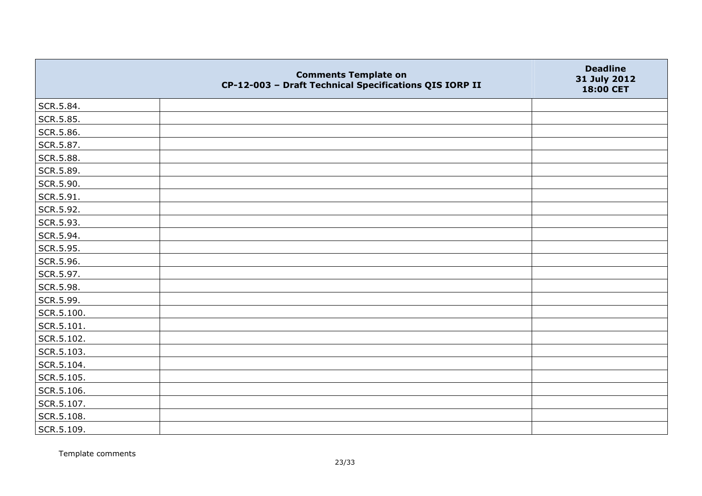|            | <b>Comments Template on</b><br>CP-12-003 - Draft Technical Specifications QIS IORP II | <b>Deadline</b><br>31 July 2012<br>18:00 CET |
|------------|---------------------------------------------------------------------------------------|----------------------------------------------|
| SCR.5.84.  |                                                                                       |                                              |
| SCR.5.85.  |                                                                                       |                                              |
| SCR.5.86.  |                                                                                       |                                              |
| SCR.5.87.  |                                                                                       |                                              |
| SCR.5.88.  |                                                                                       |                                              |
| SCR.5.89.  |                                                                                       |                                              |
| SCR.5.90.  |                                                                                       |                                              |
| SCR.5.91.  |                                                                                       |                                              |
| SCR.5.92.  |                                                                                       |                                              |
| SCR.5.93.  |                                                                                       |                                              |
| SCR.5.94.  |                                                                                       |                                              |
| SCR.5.95.  |                                                                                       |                                              |
| SCR.5.96.  |                                                                                       |                                              |
| SCR.5.97.  |                                                                                       |                                              |
| SCR.5.98.  |                                                                                       |                                              |
| SCR.5.99.  |                                                                                       |                                              |
| SCR.5.100. |                                                                                       |                                              |
| SCR.5.101. |                                                                                       |                                              |
| SCR.5.102. |                                                                                       |                                              |
| SCR.5.103. |                                                                                       |                                              |
| SCR.5.104. |                                                                                       |                                              |
| SCR.5.105. |                                                                                       |                                              |
| SCR.5.106. |                                                                                       |                                              |
| SCR.5.107. |                                                                                       |                                              |
| SCR.5.108. |                                                                                       |                                              |
| SCR.5.109. |                                                                                       |                                              |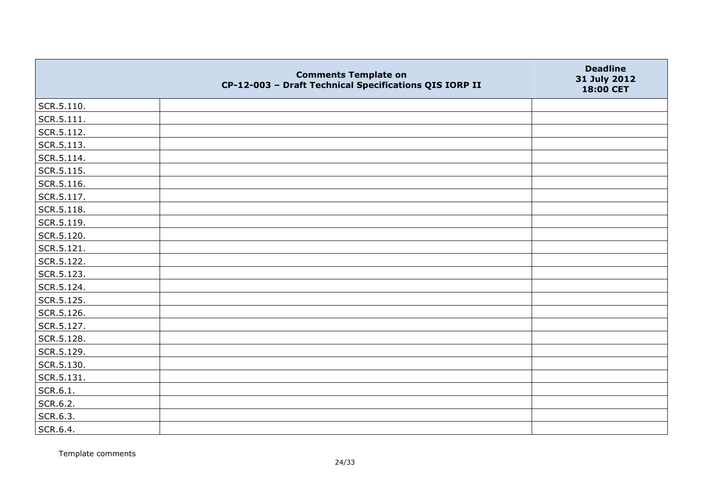|                    | <b>Comments Template on</b><br>CP-12-003 - Draft Technical Specifications QIS IORP II | <b>Deadline</b><br>31 July 2012<br>18:00 CET |
|--------------------|---------------------------------------------------------------------------------------|----------------------------------------------|
| $ $ SCR.5.110.     |                                                                                       |                                              |
| $\vert$ SCR.5.111. |                                                                                       |                                              |
| SCR.5.112.         |                                                                                       |                                              |
| SCR.5.113.         |                                                                                       |                                              |
| SCR.5.114.         |                                                                                       |                                              |
| SCR.5.115.         |                                                                                       |                                              |
| SCR.5.116.         |                                                                                       |                                              |
| SCR.5.117.         |                                                                                       |                                              |
| SCR.5.118.         |                                                                                       |                                              |
| SCR.5.119.         |                                                                                       |                                              |
| SCR.5.120.         |                                                                                       |                                              |
| SCR.5.121.         |                                                                                       |                                              |
| SCR.5.122.         |                                                                                       |                                              |
| SCR.5.123.         |                                                                                       |                                              |
| SCR.5.124.         |                                                                                       |                                              |
| SCR.5.125.         |                                                                                       |                                              |
| SCR.5.126.         |                                                                                       |                                              |
| SCR.5.127.         |                                                                                       |                                              |
| SCR.5.128.         |                                                                                       |                                              |
| SCR.5.129.         |                                                                                       |                                              |
| SCR.5.130.         |                                                                                       |                                              |
| SCR.5.131.         |                                                                                       |                                              |
| SCR.6.1.           |                                                                                       |                                              |
| SCR.6.2.           |                                                                                       |                                              |
| SCR.6.3.           |                                                                                       |                                              |
| SCR.6.4.           |                                                                                       |                                              |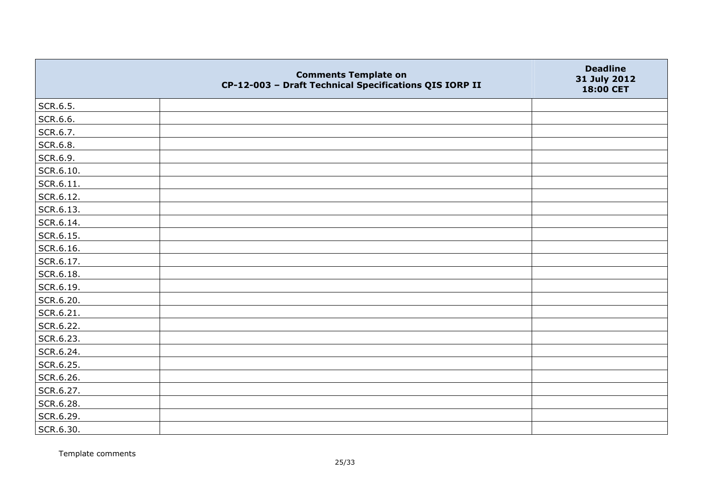|           | <b>Comments Template on</b><br>CP-12-003 - Draft Technical Specifications QIS IORP II | <b>Deadline</b><br>31 July 2012<br>18:00 CET |
|-----------|---------------------------------------------------------------------------------------|----------------------------------------------|
| SCR.6.5.  |                                                                                       |                                              |
| SCR.6.6.  |                                                                                       |                                              |
| SCR.6.7.  |                                                                                       |                                              |
| SCR.6.8.  |                                                                                       |                                              |
| SCR.6.9.  |                                                                                       |                                              |
| SCR.6.10. |                                                                                       |                                              |
| SCR.6.11. |                                                                                       |                                              |
| SCR.6.12. |                                                                                       |                                              |
| SCR.6.13. |                                                                                       |                                              |
| SCR.6.14. |                                                                                       |                                              |
| SCR.6.15. |                                                                                       |                                              |
| SCR.6.16. |                                                                                       |                                              |
| SCR.6.17. |                                                                                       |                                              |
| SCR.6.18. |                                                                                       |                                              |
| SCR.6.19. |                                                                                       |                                              |
| SCR.6.20. |                                                                                       |                                              |
| SCR.6.21. |                                                                                       |                                              |
| SCR.6.22. |                                                                                       |                                              |
| SCR.6.23. |                                                                                       |                                              |
| SCR.6.24. |                                                                                       |                                              |
| SCR.6.25. |                                                                                       |                                              |
| SCR.6.26. |                                                                                       |                                              |
| SCR.6.27. |                                                                                       |                                              |
| SCR.6.28. |                                                                                       |                                              |
| SCR.6.29. |                                                                                       |                                              |
| SCR.6.30. |                                                                                       |                                              |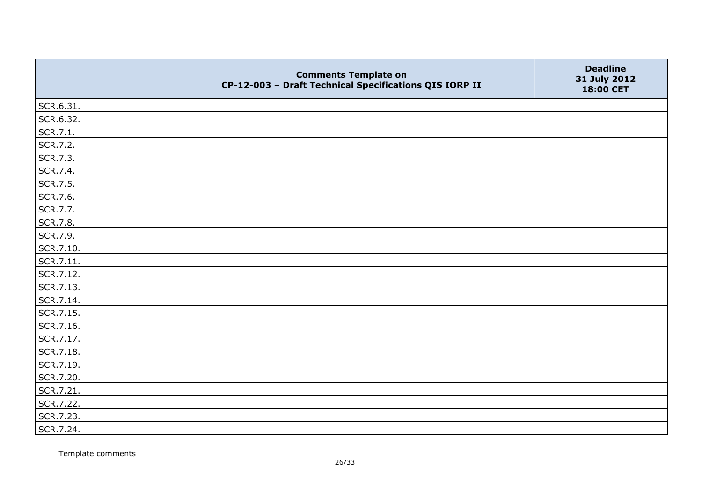|               | <b>Comments Template on</b><br>CP-12-003 - Draft Technical Specifications QIS IORP II | <b>Deadline</b><br>31 July 2012<br>18:00 CET |
|---------------|---------------------------------------------------------------------------------------|----------------------------------------------|
| SCR.6.31.     |                                                                                       |                                              |
| SCR.6.32.     |                                                                                       |                                              |
| SCR.7.1.      |                                                                                       |                                              |
| SCR.7.2.      |                                                                                       |                                              |
| SCR.7.3.      |                                                                                       |                                              |
| SCR.7.4.      |                                                                                       |                                              |
| SCR.7.5.      |                                                                                       |                                              |
| SCR.7.6.      |                                                                                       |                                              |
| SCR.7.7.      |                                                                                       |                                              |
| SCR.7.8.      |                                                                                       |                                              |
| SCR.7.9.      |                                                                                       |                                              |
| SCR.7.10.     |                                                                                       |                                              |
| $ $ SCR.7.11. |                                                                                       |                                              |
| SCR.7.12.     |                                                                                       |                                              |
| SCR.7.13.     |                                                                                       |                                              |
| SCR.7.14.     |                                                                                       |                                              |
| SCR.7.15.     |                                                                                       |                                              |
| SCR.7.16.     |                                                                                       |                                              |
| SCR.7.17.     |                                                                                       |                                              |
| SCR.7.18.     |                                                                                       |                                              |
| SCR.7.19.     |                                                                                       |                                              |
| SCR.7.20.     |                                                                                       |                                              |
| SCR.7.21.     |                                                                                       |                                              |
| SCR.7.22.     |                                                                                       |                                              |
| SCR.7.23.     |                                                                                       |                                              |
| SCR.7.24.     |                                                                                       |                                              |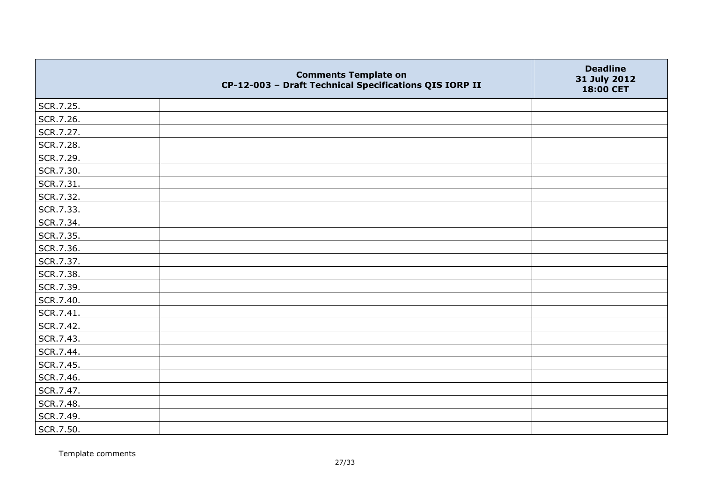|           | <b>Comments Template on</b><br>CP-12-003 - Draft Technical Specifications QIS IORP II | <b>Deadline</b><br>31 July 2012<br>18:00 CET |
|-----------|---------------------------------------------------------------------------------------|----------------------------------------------|
| SCR.7.25. |                                                                                       |                                              |
| SCR.7.26. |                                                                                       |                                              |
| SCR.7.27. |                                                                                       |                                              |
| SCR.7.28. |                                                                                       |                                              |
| SCR.7.29. |                                                                                       |                                              |
| SCR.7.30. |                                                                                       |                                              |
| SCR.7.31. |                                                                                       |                                              |
| SCR.7.32. |                                                                                       |                                              |
| SCR.7.33. |                                                                                       |                                              |
| SCR.7.34. |                                                                                       |                                              |
| SCR.7.35. |                                                                                       |                                              |
| SCR.7.36. |                                                                                       |                                              |
| SCR.7.37. |                                                                                       |                                              |
| SCR.7.38. |                                                                                       |                                              |
| SCR.7.39. |                                                                                       |                                              |
| SCR.7.40. |                                                                                       |                                              |
| SCR.7.41. |                                                                                       |                                              |
| SCR.7.42. |                                                                                       |                                              |
| SCR.7.43. |                                                                                       |                                              |
| SCR.7.44. |                                                                                       |                                              |
| SCR.7.45. |                                                                                       |                                              |
| SCR.7.46. |                                                                                       |                                              |
| SCR.7.47. |                                                                                       |                                              |
| SCR.7.48. |                                                                                       |                                              |
| SCR.7.49. |                                                                                       |                                              |
| SCR.7.50. |                                                                                       |                                              |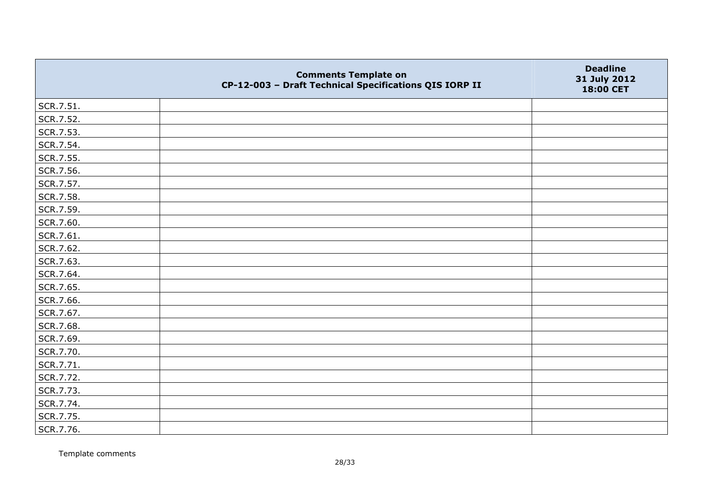|           | <b>Comments Template on</b><br>CP-12-003 - Draft Technical Specifications QIS IORP II | <b>Deadline</b><br>31 July 2012<br>18:00 CET |
|-----------|---------------------------------------------------------------------------------------|----------------------------------------------|
| SCR.7.51. |                                                                                       |                                              |
| SCR.7.52. |                                                                                       |                                              |
| SCR.7.53. |                                                                                       |                                              |
| SCR.7.54. |                                                                                       |                                              |
| SCR.7.55. |                                                                                       |                                              |
| SCR.7.56. |                                                                                       |                                              |
| SCR.7.57. |                                                                                       |                                              |
| SCR.7.58. |                                                                                       |                                              |
| SCR.7.59. |                                                                                       |                                              |
| SCR.7.60. |                                                                                       |                                              |
| SCR.7.61. |                                                                                       |                                              |
| SCR.7.62. |                                                                                       |                                              |
| SCR.7.63. |                                                                                       |                                              |
| SCR.7.64. |                                                                                       |                                              |
| SCR.7.65. |                                                                                       |                                              |
| SCR.7.66. |                                                                                       |                                              |
| SCR.7.67. |                                                                                       |                                              |
| SCR.7.68. |                                                                                       |                                              |
| SCR.7.69. |                                                                                       |                                              |
| SCR.7.70. |                                                                                       |                                              |
| SCR.7.71. |                                                                                       |                                              |
| SCR.7.72. |                                                                                       |                                              |
| SCR.7.73. |                                                                                       |                                              |
| SCR.7.74. |                                                                                       |                                              |
| SCR.7.75. |                                                                                       |                                              |
| SCR.7.76. |                                                                                       |                                              |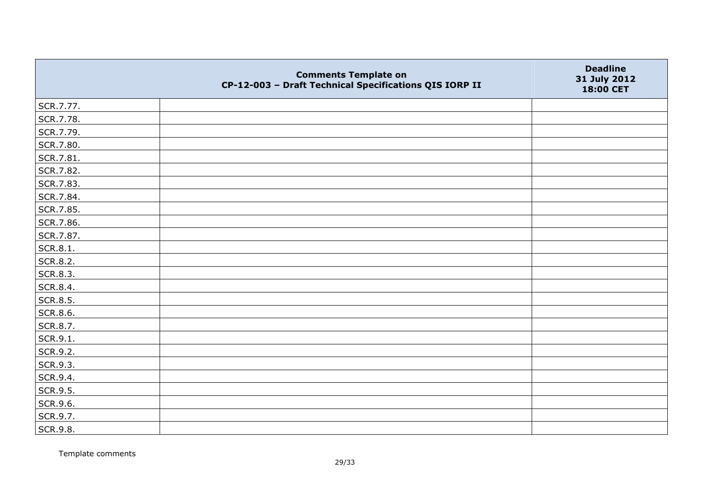|           | <b>Comments Template on</b><br>CP-12-003 - Draft Technical Specifications QIS IORP II | <b>Deadline</b><br>31 July 2012<br>18:00 CET |
|-----------|---------------------------------------------------------------------------------------|----------------------------------------------|
| SCR.7.77. |                                                                                       |                                              |
| SCR.7.78. |                                                                                       |                                              |
| SCR.7.79. |                                                                                       |                                              |
| SCR.7.80. |                                                                                       |                                              |
| SCR.7.81. |                                                                                       |                                              |
| SCR.7.82. |                                                                                       |                                              |
| SCR.7.83. |                                                                                       |                                              |
| SCR.7.84. |                                                                                       |                                              |
| SCR.7.85. |                                                                                       |                                              |
| SCR.7.86. |                                                                                       |                                              |
| SCR.7.87. |                                                                                       |                                              |
| SCR.8.1.  |                                                                                       |                                              |
| SCR.8.2.  |                                                                                       |                                              |
| SCR.8.3.  |                                                                                       |                                              |
| SCR.8.4.  |                                                                                       |                                              |
| SCR.8.5.  |                                                                                       |                                              |
| SCR.8.6.  |                                                                                       |                                              |
| SCR.8.7.  |                                                                                       |                                              |
| SCR.9.1.  |                                                                                       |                                              |
| SCR.9.2.  |                                                                                       |                                              |
| SCR.9.3.  |                                                                                       |                                              |
| SCR.9.4.  |                                                                                       |                                              |
| SCR.9.5.  |                                                                                       |                                              |
| SCR.9.6.  |                                                                                       |                                              |
| SCR.9.7.  |                                                                                       |                                              |
| SCR.9.8.  |                                                                                       |                                              |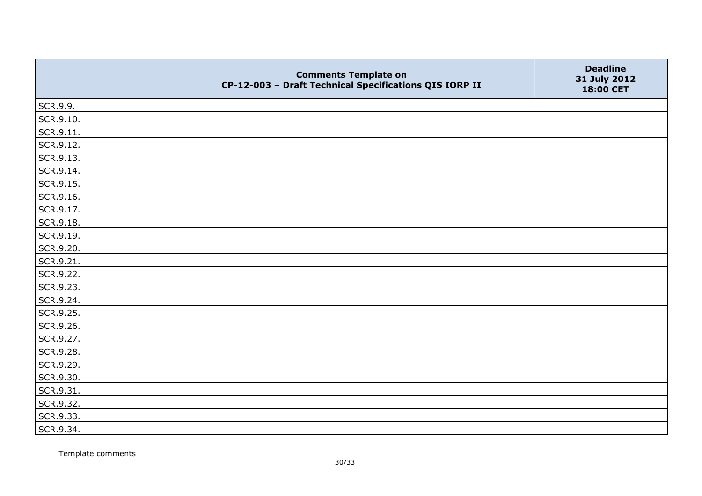|               | <b>Comments Template on</b><br>CP-12-003 - Draft Technical Specifications QIS IORP II | <b>Deadline</b><br>31 July 2012<br>18:00 CET |
|---------------|---------------------------------------------------------------------------------------|----------------------------------------------|
| SCR.9.9.      |                                                                                       |                                              |
| SCR.9.10.     |                                                                                       |                                              |
| $ $ SCR.9.11. |                                                                                       |                                              |
| SCR.9.12.     |                                                                                       |                                              |
| SCR.9.13.     |                                                                                       |                                              |
| SCR.9.14.     |                                                                                       |                                              |
| SCR.9.15.     |                                                                                       |                                              |
| SCR.9.16.     |                                                                                       |                                              |
| SCR.9.17.     |                                                                                       |                                              |
| SCR.9.18.     |                                                                                       |                                              |
| SCR.9.19.     |                                                                                       |                                              |
| SCR.9.20.     |                                                                                       |                                              |
| SCR.9.21.     |                                                                                       |                                              |
| SCR.9.22.     |                                                                                       |                                              |
| SCR.9.23.     |                                                                                       |                                              |
| SCR.9.24.     |                                                                                       |                                              |
| SCR.9.25.     |                                                                                       |                                              |
| SCR.9.26.     |                                                                                       |                                              |
| SCR.9.27.     |                                                                                       |                                              |
| SCR.9.28.     |                                                                                       |                                              |
| SCR.9.29.     |                                                                                       |                                              |
| SCR.9.30.     |                                                                                       |                                              |
| SCR.9.31.     |                                                                                       |                                              |
| SCR.9.32.     |                                                                                       |                                              |
| SCR.9.33.     |                                                                                       |                                              |
| SCR.9.34.     |                                                                                       |                                              |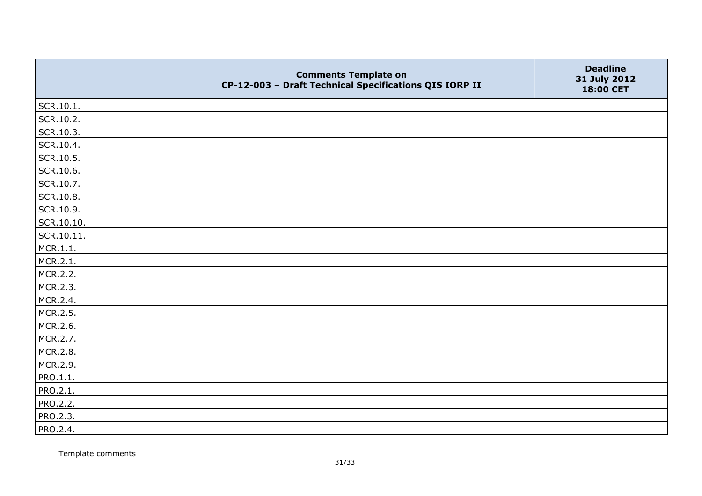|            | <b>Comments Template on</b><br>CP-12-003 - Draft Technical Specifications QIS IORP II | <b>Deadline</b><br>31 July 2012<br>18:00 CET |
|------------|---------------------------------------------------------------------------------------|----------------------------------------------|
| SCR.10.1.  |                                                                                       |                                              |
| SCR.10.2.  |                                                                                       |                                              |
| SCR.10.3.  |                                                                                       |                                              |
| SCR.10.4.  |                                                                                       |                                              |
| SCR.10.5.  |                                                                                       |                                              |
| SCR.10.6.  |                                                                                       |                                              |
| SCR.10.7.  |                                                                                       |                                              |
| SCR.10.8.  |                                                                                       |                                              |
| SCR.10.9.  |                                                                                       |                                              |
| SCR.10.10. |                                                                                       |                                              |
| SCR.10.11. |                                                                                       |                                              |
| MCR.1.1.   |                                                                                       |                                              |
| MCR.2.1.   |                                                                                       |                                              |
| MCR.2.2.   |                                                                                       |                                              |
| MCR.2.3.   |                                                                                       |                                              |
| MCR.2.4.   |                                                                                       |                                              |
| MCR.2.5.   |                                                                                       |                                              |
| MCR.2.6.   |                                                                                       |                                              |
| MCR.2.7.   |                                                                                       |                                              |
| MCR.2.8.   |                                                                                       |                                              |
| MCR.2.9.   |                                                                                       |                                              |
| PRO.1.1.   |                                                                                       |                                              |
| PRO.2.1.   |                                                                                       |                                              |
| PRO.2.2.   |                                                                                       |                                              |
| PRO.2.3.   |                                                                                       |                                              |
| PRO.2.4.   |                                                                                       |                                              |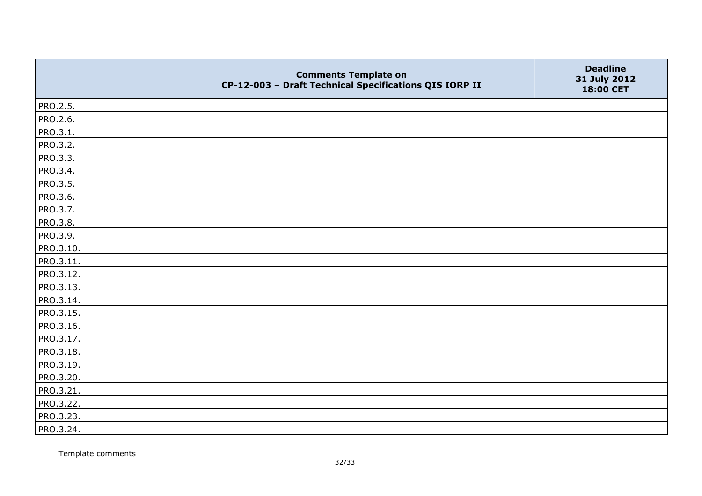|           | <b>Comments Template on</b><br>CP-12-003 - Draft Technical Specifications QIS IORP II | <b>Deadline</b><br>31 July 2012<br>18:00 CET |
|-----------|---------------------------------------------------------------------------------------|----------------------------------------------|
| PRO.2.5.  |                                                                                       |                                              |
| PRO.2.6.  |                                                                                       |                                              |
| PRO.3.1.  |                                                                                       |                                              |
| PRO.3.2.  |                                                                                       |                                              |
| PRO.3.3.  |                                                                                       |                                              |
| PRO.3.4.  |                                                                                       |                                              |
| PRO.3.5.  |                                                                                       |                                              |
| PRO.3.6.  |                                                                                       |                                              |
| PRO.3.7.  |                                                                                       |                                              |
| PRO.3.8.  |                                                                                       |                                              |
| PRO.3.9.  |                                                                                       |                                              |
| PRO.3.10. |                                                                                       |                                              |
| PRO.3.11. |                                                                                       |                                              |
| PRO.3.12. |                                                                                       |                                              |
| PRO.3.13. |                                                                                       |                                              |
| PRO.3.14. |                                                                                       |                                              |
| PRO.3.15. |                                                                                       |                                              |
| PRO.3.16. |                                                                                       |                                              |
| PRO.3.17. |                                                                                       |                                              |
| PRO.3.18. |                                                                                       |                                              |
| PRO.3.19. |                                                                                       |                                              |
| PRO.3.20. |                                                                                       |                                              |
| PRO.3.21. |                                                                                       |                                              |
| PRO.3.22. |                                                                                       |                                              |
| PRO.3.23. |                                                                                       |                                              |
| PRO.3.24. |                                                                                       |                                              |